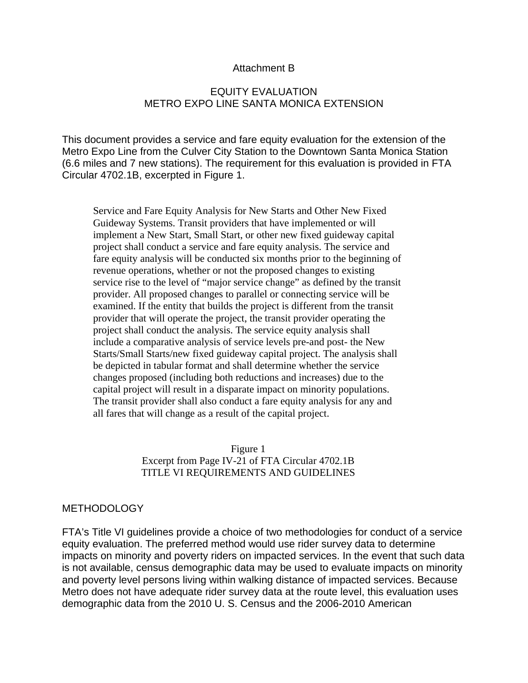#### Attachment B

### EQUITY EVALUATION METRO EXPO LINE SANTA MONICA EXTENSION

This document provides a service and fare equity evaluation for the extension of the Metro Expo Line from the Culver City Station to the Downtown Santa Monica Station (6.6 miles and 7 new stations). The requirement for this evaluation is provided in FTA Circular 4702.1B, excerpted in Figure 1.

Service and Fare Equity Analysis for New Starts and Other New Fixed Guideway Systems. Transit providers that have implemented or will implement a New Start, Small Start, or other new fixed guideway capital project shall conduct a service and fare equity analysis. The service and fare equity analysis will be conducted six months prior to the beginning of revenue operations, whether or not the proposed changes to existing service rise to the level of "major service change" as defined by the transit provider. All proposed changes to parallel or connecting service will be examined. If the entity that builds the project is different from the transit provider that will operate the project, the transit provider operating the project shall conduct the analysis. The service equity analysis shall include a comparative analysis of service levels pre-and post- the New Starts/Small Starts/new fixed guideway capital project. The analysis shall be depicted in tabular format and shall determine whether the service changes proposed (including both reductions and increases) due to the capital project will result in a disparate impact on minority populations. The transit provider shall also conduct a fare equity analysis for any and all fares that will change as a result of the capital project.

> Figure 1 Excerpt from Page IV-21 of FTA Circular 4702.1B TITLE VI REQUIREMENTS AND GUIDELINES

#### METHODOLOGY

FTA's Title VI guidelines provide a choice of two methodologies for conduct of a service equity evaluation. The preferred method would use rider survey data to determine impacts on minority and poverty riders on impacted services. In the event that such data is not available, census demographic data may be used to evaluate impacts on minority and poverty level persons living within walking distance of impacted services. Because Metro does not have adequate rider survey data at the route level, this evaluation uses demographic data from the 2010 U. S. Census and the 2006-2010 American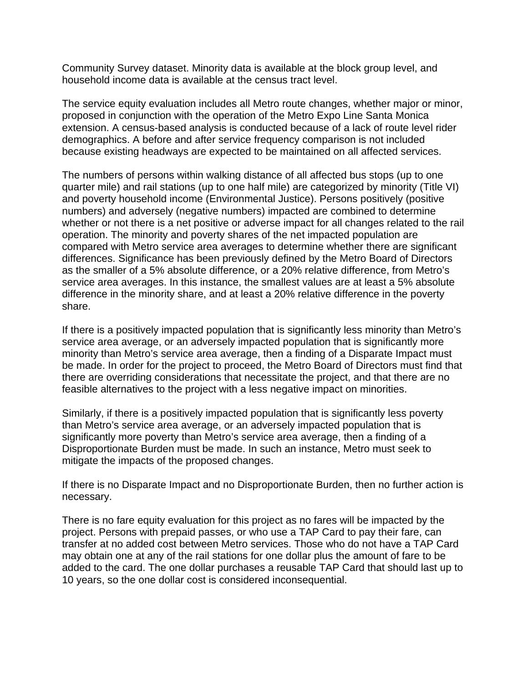Community Survey dataset. Minority data is available at the block group level, and household income data is available at the census tract level.

The service equity evaluation includes all Metro route changes, whether major or minor, proposed in conjunction with the operation of the Metro Expo Line Santa Monica extension. A census-based analysis is conducted because of a lack of route level rider demographics. A before and after service frequency comparison is not included because existing headways are expected to be maintained on all affected services.

The numbers of persons within walking distance of all affected bus stops (up to one quarter mile) and rail stations (up to one half mile) are categorized by minority (Title VI) and poverty household income (Environmental Justice). Persons positively (positive numbers) and adversely (negative numbers) impacted are combined to determine whether or not there is a net positive or adverse impact for all changes related to the rail operation. The minority and poverty shares of the net impacted population are compared with Metro service area averages to determine whether there are significant differences. Significance has been previously defined by the Metro Board of Directors as the smaller of a 5% absolute difference, or a 20% relative difference, from Metro's service area averages. In this instance, the smallest values are at least a 5% absolute difference in the minority share, and at least a 20% relative difference in the poverty share.

If there is a positively impacted population that is significantly less minority than Metro's service area average, or an adversely impacted population that is significantly more minority than Metro's service area average, then a finding of a Disparate Impact must be made. In order for the project to proceed, the Metro Board of Directors must find that there are overriding considerations that necessitate the project, and that there are no feasible alternatives to the project with a less negative impact on minorities.

Similarly, if there is a positively impacted population that is significantly less poverty than Metro's service area average, or an adversely impacted population that is significantly more poverty than Metro's service area average, then a finding of a Disproportionate Burden must be made. In such an instance, Metro must seek to mitigate the impacts of the proposed changes.

If there is no Disparate Impact and no Disproportionate Burden, then no further action is necessary.

There is no fare equity evaluation for this project as no fares will be impacted by the project. Persons with prepaid passes, or who use a TAP Card to pay their fare, can transfer at no added cost between Metro services. Those who do not have a TAP Card may obtain one at any of the rail stations for one dollar plus the amount of fare to be added to the card. The one dollar purchases a reusable TAP Card that should last up to 10 years, so the one dollar cost is considered inconsequential.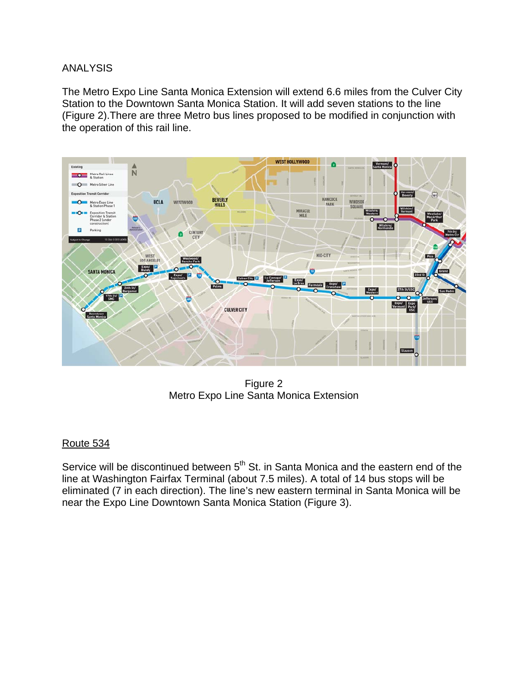## ANALYSIS

The Metro Expo Line Santa Monica Extension will extend 6.6 miles from the Culver City Station to the Downtown Santa Monica Station. It will add seven stations to the line (Figure 2).There are three Metro bus lines proposed to be modified in conjunction with the operation of this rail line.



Figure 2 Metro Expo Line Santa Monica Extension

# Route 534

Service will be discontinued between 5<sup>th</sup> St. in Santa Monica and the eastern end of the line at Washington Fairfax Terminal (about 7.5 miles). A total of 14 bus stops will be eliminated (7 in each direction). The line's new eastern terminal in Santa Monica will be near the Expo Line Downtown Santa Monica Station (Figure 3).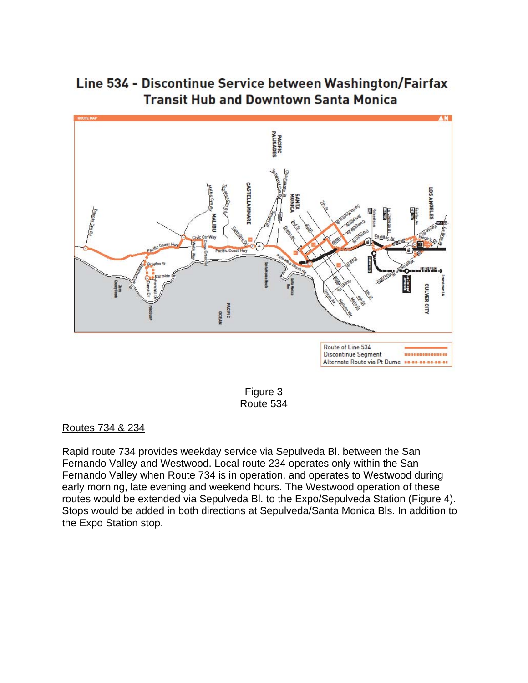Line 534 - Discontinue Service between Washington/Fairfax **Transit Hub and Downtown Santa Monica** 



Figure 3 Route 534

Routes 734 & 234

Rapid route 734 provides weekday service via Sepulveda Bl. between the San Fernando Valley and Westwood. Local route 234 operates only within the San Fernando Valley when Route 734 is in operation, and operates to Westwood during early morning, late evening and weekend hours. The Westwood operation of these routes would be extended via Sepulveda Bl. to the Expo/Sepulveda Station (Figure 4). Stops would be added in both directions at Sepulveda/Santa Monica Bls. In addition to the Expo Station stop.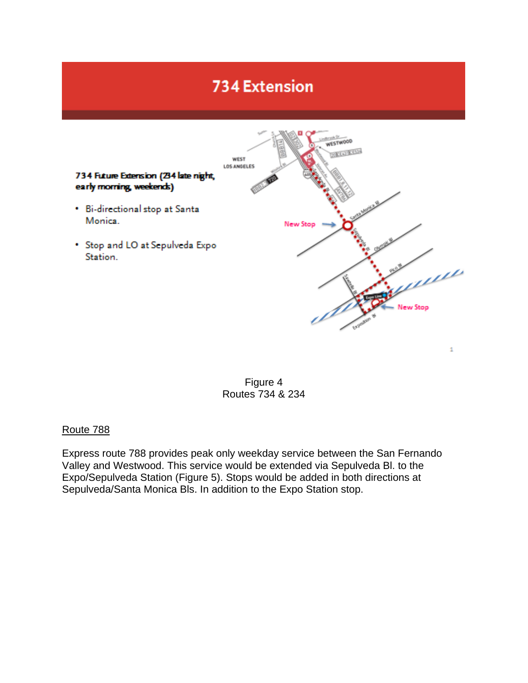# **734 Extension**





#### Route 788

Express route 788 provides peak only weekday service between the San Fernando Valley and Westwood. This service would be extended via Sepulveda Bl. to the Expo/Sepulveda Station (Figure 5). Stops would be added in both directions at Sepulveda/Santa Monica Bls. In addition to the Expo Station stop.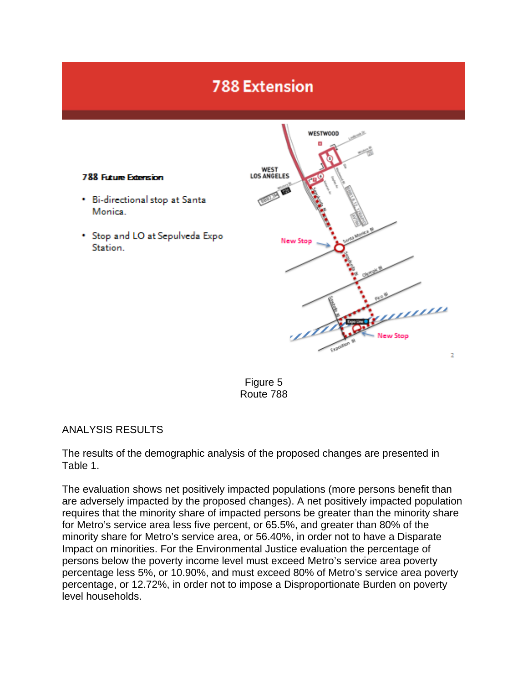# **788 Extension**



Figure 5 Route 788

#### ANALYSIS RESULTS

The results of the demographic analysis of the proposed changes are presented in Table 1.

The evaluation shows net positively impacted populations (more persons benefit than are adversely impacted by the proposed changes). A net positively impacted population requires that the minority share of impacted persons be greater than the minority share for Metro's service area less five percent, or 65.5%, and greater than 80% of the minority share for Metro's service area, or 56.40%, in order not to have a Disparate Impact on minorities. For the Environmental Justice evaluation the percentage of persons below the poverty income level must exceed Metro's service area poverty percentage less 5%, or 10.90%, and must exceed 80% of Metro's service area poverty percentage, or 12.72%, in order not to impose a Disproportionate Burden on poverty level households.